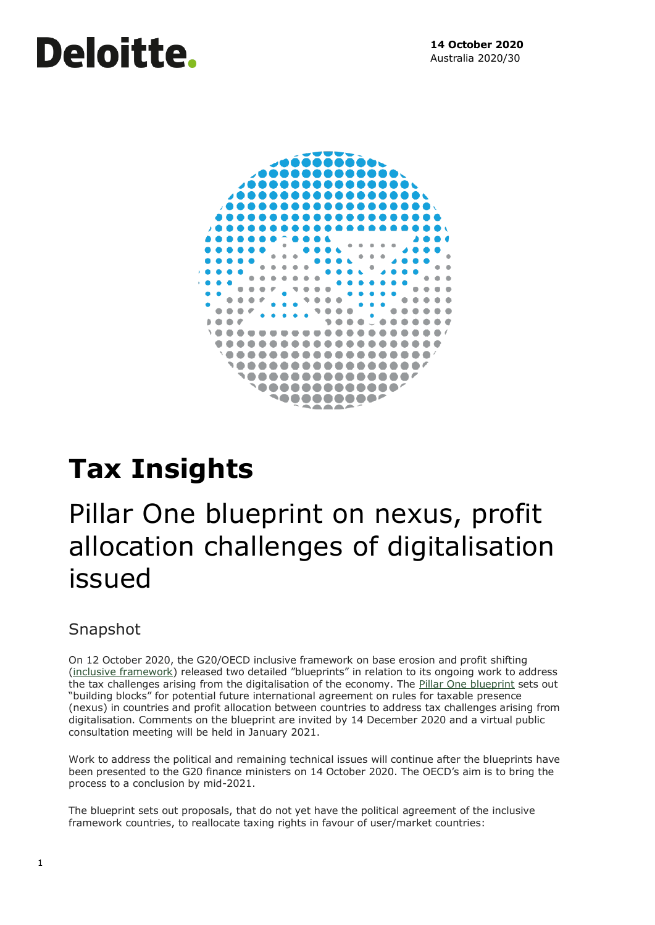# Deloitte.



# **Tax Insights**

# Pillar One blueprint on nexus, profit allocation challenges of digitalisation issued

### Snapshot

On 12 October 2020, the G20/OECD inclusive framework on base erosion and profit shifting [\(inclusive framework](http://www.oecd.org/tax/beps-about.htm)) released two detailed "blueprints" in relation to its ongoing work to address the tax challenges arising from the digitalisation of the economy. The [Pillar One blueprint](https://www.oecd.org/tax/beps/tax-challenges-arising-from-digitalisation-report-on-pillar-one-blueprint-beba0634-en.htm) sets out "building blocks" for potential future international agreement on rules for taxable presence (nexus) in countries and profit allocation between countries to address tax challenges arising from digitalisation. Comments on the blueprint are invited by 14 December 2020 and a virtual public consultation meeting will be held in January 2021.

Work to address the political and remaining technical issues will continue after the blueprints have been presented to the G20 finance ministers on 14 October 2020. The OECD's aim is to bring the process to a conclusion by mid-2021.

The blueprint sets out proposals, that do not yet have the political agreement of the inclusive framework countries, to reallocate taxing rights in favour of user/market countries: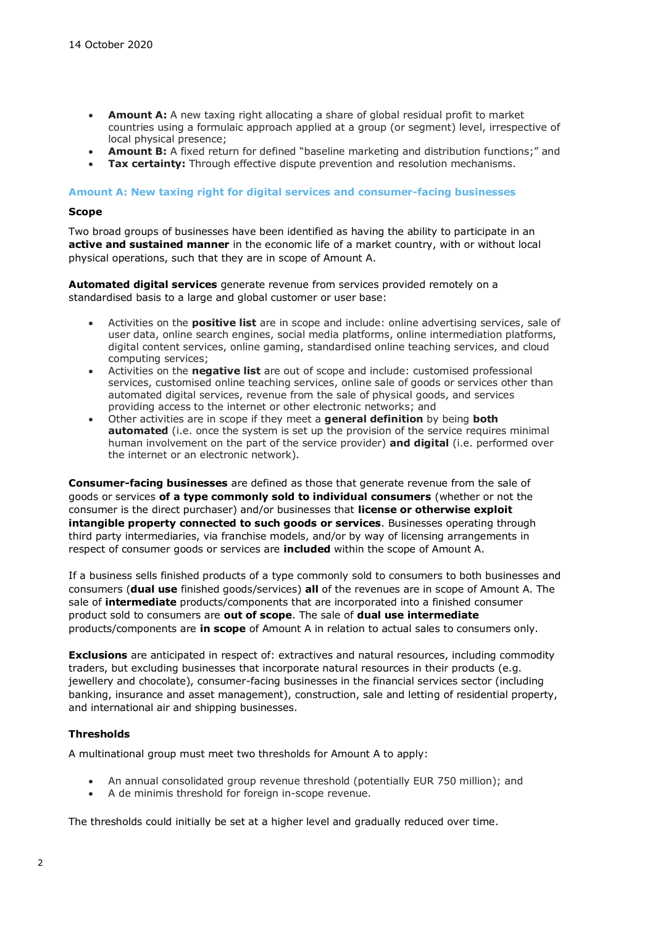- **Amount A:** A new taxing right allocating a share of global residual profit to market countries using a formulaic approach applied at a group (or segment) level, irrespective of local physical presence;
- **Amount B:** A fixed return for defined "baseline marketing and distribution functions;" and
- **Tax certainty:** Through effective dispute prevention and resolution mechanisms.

#### **Amount A: New taxing right for digital services and consumer-facing businesses**

#### **Scope**

Two broad groups of businesses have been identified as having the ability to participate in an **active and sustained manner** in the economic life of a market country, with or without local physical operations, such that they are in scope of Amount A.

**Automated digital services** generate revenue from services provided remotely on a standardised basis to a large and global customer or user base:

- Activities on the **positive list** are in scope and include: online advertising services, sale of user data, online search engines, social media platforms, online intermediation platforms, digital content services, online gaming, standardised online teaching services, and cloud computing services;
- Activities on the **negative list** are out of scope and include: customised professional services, customised online teaching services, online sale of goods or services other than automated digital services, revenue from the sale of physical goods, and services providing access to the internet or other electronic networks; and
- Other activities are in scope if they meet a **general definition** by being **both automated** (i.e. once the system is set up the provision of the service requires minimal human involvement on the part of the service provider) **and digital** (i.e. performed over the internet or an electronic network).

**Consumer-facing businesses** are defined as those that generate revenue from the sale of goods or services **of a type commonly sold to individual consumers** (whether or not the consumer is the direct purchaser) and/or businesses that **license or otherwise exploit intangible property connected to such goods or services**. Businesses operating through third party intermediaries, via franchise models, and/or by way of licensing arrangements in respect of consumer goods or services are **included** within the scope of Amount A.

If a business sells finished products of a type commonly sold to consumers to both businesses and consumers (**dual use** finished goods/services) **all** of the revenues are in scope of Amount A. The sale of **intermediate** products/components that are incorporated into a finished consumer product sold to consumers are **out of scope**. The sale of **dual use intermediate** products/components are **in scope** of Amount A in relation to actual sales to consumers only.

**Exclusions** are anticipated in respect of: extractives and natural resources, including commodity traders, but excluding businesses that incorporate natural resources in their products (e.g. jewellery and chocolate), consumer-facing businesses in the financial services sector (including banking, insurance and asset management), construction, sale and letting of residential property, and international air and shipping businesses.

#### **Thresholds**

A multinational group must meet two thresholds for Amount A to apply:

- An annual consolidated group revenue threshold (potentially EUR 750 million); and
- A de minimis threshold for foreign in-scope revenue.

The thresholds could initially be set at a higher level and gradually reduced over time.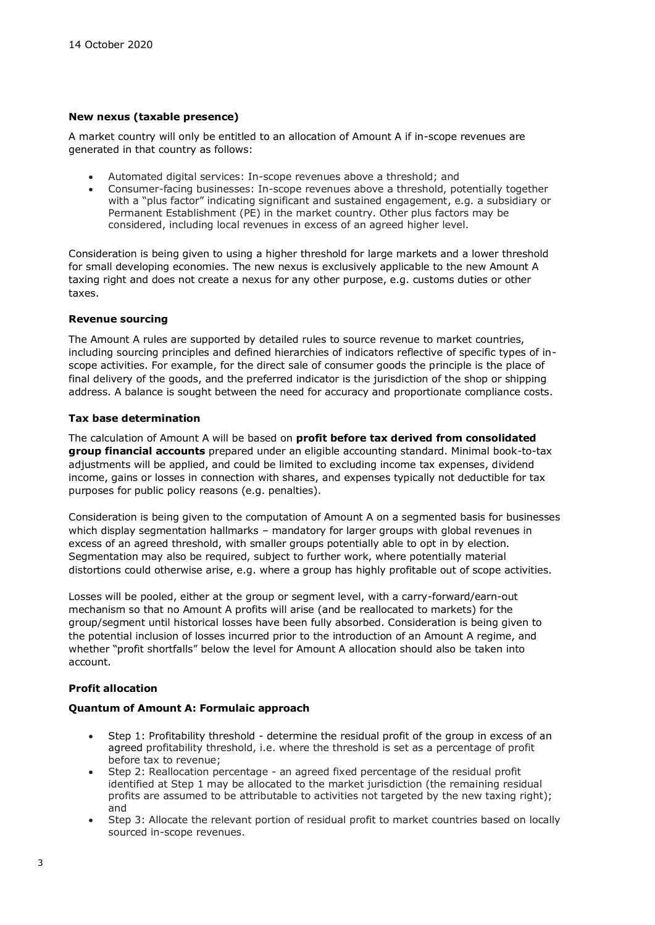#### **New nexus (taxable presence)**

A market country will only be entitled to an allocation of Amount A if in-scope revenues are generated in that country as follows:

- Automated digital services: In-scope revenues above a threshold; and
- Consumer-facing businesses: In-scope revenues above a threshold, potentially together with a "plus factor" indicating significant and sustained engagement, e.g. a subsidiary or Permanent Establishment (PE) in the market country. Other plus factors may be considered, including local revenues in excess of an agreed higher level.

Consideration is being given to using a higher threshold for large markets and a lower threshold for small developing economies. The new nexus is exclusively applicable to the new Amount A taxing right and does not create a nexus for any other purpose, e.g. customs duties or other taxes.

#### **Revenue sourcing**

The Amount A rules are supported by detailed rules to source revenue to market countries, including sourcing principles and defined hierarchies of indicators reflective of specific types of inscope activities. For example, for the direct sale of consumer goods the principle is the place of final delivery of the goods, and the preferred indicator is the jurisdiction of the shop or shipping address. A balance is sought between the need for accuracy and proportionate compliance costs.

#### **Tax base determination**

The calculation of Amount A will be based on **profit before tax derived from consolidated group financial accounts** prepared under an eligible accounting standard. Minimal book-to-tax adjustments will be applied, and could be limited to excluding income tax expenses, dividend income, gains or losses in connection with shares, and expenses typically not deductible for tax purposes for public policy reasons (e.g. penalties).

Consideration is being given to the computation of Amount A on a segmented basis for businesses which display segmentation hallmarks – mandatory for larger groups with global revenues in excess of an agreed threshold, with smaller groups potentially able to opt in by election. Segmentation may also be required, subject to further work, where potentially material distortions could otherwise arise, e.g. where a group has highly profitable out of scope activities.

Losses will be pooled, either at the group or segment level, with a carry-forward/earn-out mechanism so that no Amount A profits will arise (and be reallocated to markets) for the group/segment until historical losses have been fully absorbed. Consideration is being given to the potential inclusion of losses incurred prior to the introduction of an Amount A regime, and whether "profit shortfalls" below the level for Amount A allocation should also be taken into account.

#### **Profit allocation**

#### **Quantum of Amount A: Formulaic approach**

- Step 1: Profitability threshold *-* determine the residual profit of the group in excess of an agreed profitability threshold, i.e. where the threshold is set as a percentage of profit before tax to revenue;
- Step 2: Reallocation percentage an agreed fixed percentage of the residual profit identified at Step 1 may be allocated to the market jurisdiction (the remaining residual profits are assumed to be attributable to activities not targeted by the new taxing right); and
- Step 3: Allocate the relevant portion of residual profit to market countries based on locally sourced in-scope revenues.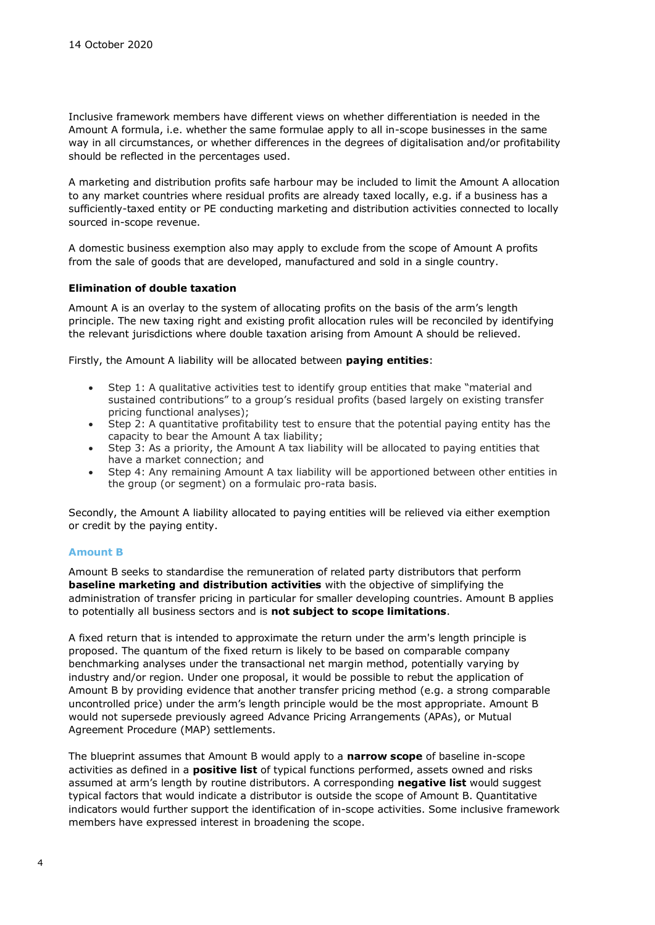Inclusive framework members have different views on whether differentiation is needed in the Amount A formula, i.e. whether the same formulae apply to all in-scope businesses in the same way in all circumstances, or whether differences in the degrees of digitalisation and/or profitability should be reflected in the percentages used.

A marketing and distribution profits safe harbour may be included to limit the Amount A allocation to any market countries where residual profits are already taxed locally, e.g. if a business has a sufficiently-taxed entity or PE conducting marketing and distribution activities connected to locally sourced in-scope revenue.

A domestic business exemption also may apply to exclude from the scope of Amount A profits from the sale of goods that are developed, manufactured and sold in a single country.

#### **Elimination of double taxation**

Amount A is an overlay to the system of allocating profits on the basis of the arm's length principle. The new taxing right and existing profit allocation rules will be reconciled by identifying the relevant jurisdictions where double taxation arising from Amount A should be relieved.

Firstly, the Amount A liability will be allocated between **paying entities**:

- Step 1: A qualitative activities test to identify group entities that make "material and sustained contributions" to a group's residual profits (based largely on existing transfer pricing functional analyses);
- Step 2: A quantitative profitability test to ensure that the potential paying entity has the capacity to bear the Amount A tax liability;
- Step 3: As a priority, the Amount A tax liability will be allocated to paying entities that have a market connection; and
- Step 4: Any remaining Amount A tax liability will be apportioned between other entities in the group (or segment) on a formulaic pro-rata basis.

Secondly, the Amount A liability allocated to paying entities will be relieved via either exemption or credit by the paying entity.

#### **Amount B**

Amount B seeks to standardise the remuneration of related party distributors that perform **baseline marketing and distribution activities** with the objective of simplifying the administration of transfer pricing in particular for smaller developing countries. Amount B applies to potentially all business sectors and is **not subject to scope limitations**.

A fixed return that is intended to approximate the return under the arm's length principle is proposed. The quantum of the fixed return is likely to be based on comparable company benchmarking analyses under the transactional net margin method, potentially varying by industry and/or region. Under one proposal, it would be possible to rebut the application of Amount B by providing evidence that another transfer pricing method (e.g. a strong comparable uncontrolled price) under the arm's length principle would be the most appropriate. Amount B would not supersede previously agreed Advance Pricing Arrangements (APAs), or Mutual Agreement Procedure (MAP) settlements.

The blueprint assumes that Amount B would apply to a **narrow scope** of baseline in-scope activities as defined in a **positive list** of typical functions performed, assets owned and risks assumed at arm's length by routine distributors. A corresponding **negative list** would suggest typical factors that would indicate a distributor is outside the scope of Amount B. Quantitative indicators would further support the identification of in-scope activities. Some inclusive framework members have expressed interest in broadening the scope.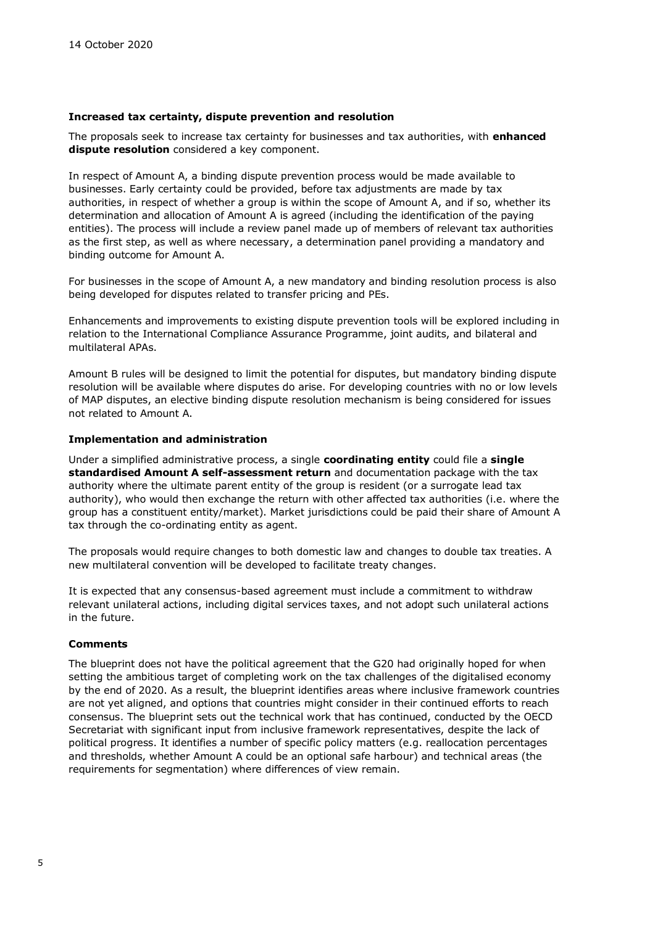#### **Increased tax certainty, dispute prevention and resolution**

The proposals seek to increase tax certainty for businesses and tax authorities, with **enhanced dispute resolution** considered a key component.

In respect of Amount A, a binding dispute prevention process would be made available to businesses. Early certainty could be provided, before tax adjustments are made by tax authorities, in respect of whether a group is within the scope of Amount A, and if so, whether its determination and allocation of Amount A is agreed (including the identification of the paying entities). The process will include a review panel made up of members of relevant tax authorities as the first step, as well as where necessary, a determination panel providing a mandatory and binding outcome for Amount A.

For businesses in the scope of Amount A, a new mandatory and binding resolution process is also being developed for disputes related to transfer pricing and PEs.

Enhancements and improvements to existing dispute prevention tools will be explored including in relation to the International Compliance Assurance Programme, joint audits, and bilateral and multilateral APAs.

Amount B rules will be designed to limit the potential for disputes, but mandatory binding dispute resolution will be available where disputes do arise. For developing countries with no or low levels of MAP disputes, an elective binding dispute resolution mechanism is being considered for issues not related to Amount A.

#### **Implementation and administration**

Under a simplified administrative process, a single **coordinating entity** could file a **single standardised Amount A self-assessment return** and documentation package with the tax authority where the ultimate parent entity of the group is resident (or a surrogate lead tax authority), who would then exchange the return with other affected tax authorities (i.e. where the group has a constituent entity/market). Market jurisdictions could be paid their share of Amount A tax through the co-ordinating entity as agent.

The proposals would require changes to both domestic law and changes to double tax treaties. A new multilateral convention will be developed to facilitate treaty changes.

It is expected that any consensus-based agreement must include a commitment to withdraw relevant unilateral actions, including digital services taxes, and not adopt such unilateral actions in the future.

#### **Comments**

The blueprint does not have the political agreement that the G20 had originally hoped for when setting the ambitious target of completing work on the tax challenges of the digitalised economy by the end of 2020. As a result, the blueprint identifies areas where inclusive framework countries are not yet aligned, and options that countries might consider in their continued efforts to reach consensus. The blueprint sets out the technical work that has continued, conducted by the OECD Secretariat with significant input from inclusive framework representatives, despite the lack of political progress. It identifies a number of specific policy matters (e.g. reallocation percentages and thresholds, whether Amount A could be an optional safe harbour) and technical areas (the requirements for segmentation) where differences of view remain.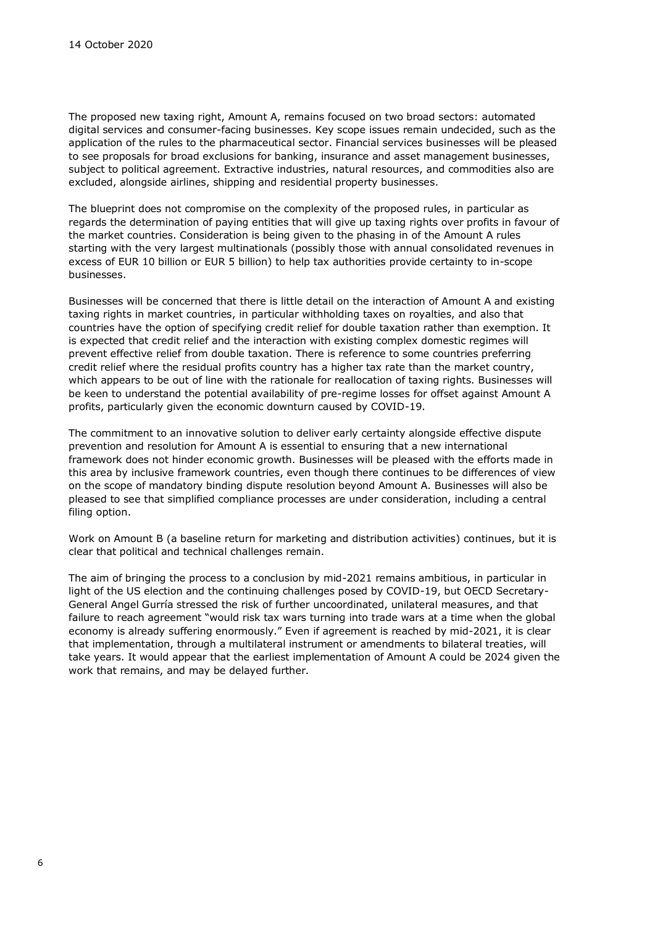The proposed new taxing right, Amount A, remains focused on two broad sectors: automated digital services and consumer-facing businesses. Key scope issues remain undecided, such as the application of the rules to the pharmaceutical sector. Financial services businesses will be pleased to see proposals for broad exclusions for banking, insurance and asset management businesses, subject to political agreement. Extractive industries, natural resources, and commodities also are excluded, alongside airlines, shipping and residential property businesses.

The blueprint does not compromise on the complexity of the proposed rules, in particular as regards the determination of paying entities that will give up taxing rights over profits in favour of the market countries. Consideration is being given to the phasing in of the Amount A rules starting with the very largest multinationals (possibly those with annual consolidated revenues in excess of EUR 10 billion or EUR 5 billion) to help tax authorities provide certainty to in-scope businesses.

Businesses will be concerned that there is little detail on the interaction of Amount A and existing taxing rights in market countries, in particular withholding taxes on royalties, and also that countries have the option of specifying credit relief for double taxation rather than exemption. It is expected that credit relief and the interaction with existing complex domestic regimes will prevent effective relief from double taxation. There is reference to some countries preferring credit relief where the residual profits country has a higher tax rate than the market country, which appears to be out of line with the rationale for reallocation of taxing rights. Businesses will be keen to understand the potential availability of pre-regime losses for offset against Amount A profits, particularly given the economic downturn caused by COVID-19.

The commitment to an innovative solution to deliver early certainty alongside effective dispute prevention and resolution for Amount A is essential to ensuring that a new international framework does not hinder economic growth. Businesses will be pleased with the efforts made in this area by inclusive framework countries, even though there continues to be differences of view on the scope of mandatory binding dispute resolution beyond Amount A. Businesses will also be pleased to see that simplified compliance processes are under consideration, including a central filing option.

Work on Amount B (a baseline return for marketing and distribution activities) continues, but it is clear that political and technical challenges remain.

The aim of bringing the process to a conclusion by mid-2021 remains ambitious, in particular in light of the US election and the continuing challenges posed by COVID-19, but OECD Secretary-General Angel Gurría stressed the risk of further uncoordinated, unilateral measures, and that failure to reach agreement "would risk tax wars turning into trade wars at a time when the global economy is already suffering enormously." Even if agreement is reached by mid-2021, it is clear that implementation, through a multilateral instrument or amendments to bilateral treaties, will take years. It would appear that the earliest implementation of Amount A could be 2024 given the work that remains, and may be delayed further.